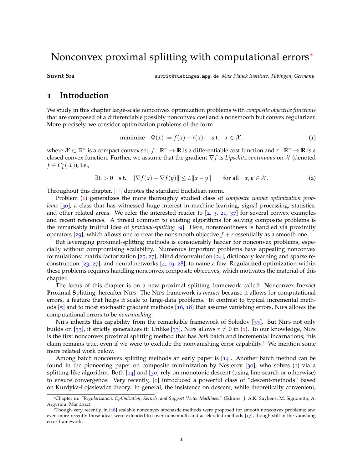# Nonconvex proximal splitting with computational errors<sup>∗</sup>

**Suvrit Sra** suvrit@tuebingen.mpg.de *Max Planck Institute, Tubingen, Germany ¨*

## **1 Introduction**

We study in this chapter large-scale nonconvex optimization problems with *composite objective functions* that are composed of a differentiable possibly nonconvex cost and a nonsmooth but convex regularizer. More precisely, we consider optimization problems of the form

<span id="page-0-0"></span>minimize 
$$
\Phi(x) := f(x) + r(x)
$$
, s.t.  $x \in \mathcal{X}$ , (1)

where  $\mathcal{X} \subset \mathbb{R}^n$  is a compact convex set,  $f:\mathbb{R}^n\to\mathbb{R}$  is a differentiable cost function and  $r:\mathbb{R}^n\to\mathbb{R}$  is a closed convex function. Further, we assume that the gradient ∇ *f* is *Lipschitz continuous* on X (denoted  $f \in C^1_L(\mathcal{X})$ ), i.e.,

<span id="page-0-2"></span> $\exists L > 0$  s.t.  $\|\nabla f(x) - \nabla f(y)\| \le L \|x - y\|$  for all  $x, y \in \mathcal{X}$ . (2)

Throughout this chapter,  $\|\cdot\|$  denotes the standard Euclidean norm.

Problem ([1](#page-0-0)) generalizes the more thoroughly studied class of *composite convex optimization problems* [[30](#page-14-0)], a class that has witnessed huge interest in machine learning, signal processing, statistics, and other related areas. We refer the interested reader to  $\left[2, 3, 21, 37\right]$  $\left[2, 3, 21, 37\right]$  $\left[2, 3, 21, 37\right]$  $\left[2, 3, 21, 37\right]$  $\left[2, 3, 21, 37\right]$  $\left[2, 3, 21, 37\right]$  $\left[2, 3, 21, 37\right]$  $\left[2, 3, 21, 37\right]$  $\left[2, 3, 21, 37\right]$  for several convex examples and recent references. A thread common to existing algorithms for solving composite problems is the remarkably fruitful idea of *proximal-splitting* [[9](#page-13-1)]. Here, nonsmoothness is handled via proximity operators [[29](#page-14-2)], which allows one to treat the nonsmooth objective  $f + r$  essentially as a smooth one.

But leveraging proximal-splitting methods is considerably harder for nonconvex problems, especially without compromising scalability. Numerous important problems have appealing nonconvex formulations: matrix factorization [[25](#page-13-2), [27](#page-14-3)], blind deconvolution [[24](#page-13-3)], dictionary learning and sparse reconstruction  $[23, 27]$  $[23, 27]$  $[23, 27]$  $[23, 27]$  $[23, 27]$ , and neural networks  $[4, 19, 28]$  $[4, 19, 28]$  $[4, 19, 28]$  $[4, 19, 28]$  $[4, 19, 28]$  $[4, 19, 28]$  $[4, 19, 28]$ , to name a few. Regularized optimization within these problems requires handling nonconvex composite objectives, which motivates the material of this chapter.

The focus of this chapter is on a new proximal splitting framework called: **N**onconvex **I**nexact **P**roximal **S**plitting, hereafter Nips. The Nips framework is *inexact* because it allows for computational errors, a feature that helps it scale to large-data problems. In contrast to typical incremental methods [[5](#page-12-3)] and to most stochastic gradient methods [[16](#page-13-6), [18](#page-13-7)] that assume vanishing errors, Nips allows the computational errors to be *nonvanishing*.

Nips inherits this capability from the remarkable framework of Solodov [[33](#page-14-5)]. But Nips not only builds on [[33](#page-14-5)], it strictly generalizes it: Unlike [33], Nips allows  $r \neq 0$  in ([1](#page-0-0)). To our knowledge, Nips is the first nonconvex proximal splitting method that has *both* batch and incremental incarnations; this claim remains true, even if we were to exclude the nonvanishing error capability.<sup>[1](#page-0-1)</sup> We mention some more related work below.

Among batch nonconvex splitting methods an early paper is  $[14]$  $[14]$  $[14]$ . Another batch method can be found in the pioneering paper on composite minimization by Nesterov [[30](#page-14-0)], who solves ([1](#page-0-0)) via a splitting-like algorithm. Both  $\lceil 14 \rceil$  $\lceil 14 \rceil$  $\lceil 14 \rceil$  and  $\lceil 30 \rceil$  $\lceil 30 \rceil$  $\lceil 30 \rceil$  rely on monotonic descent (using line-search or otherwise) to ensure convergence. Very recently, [[1](#page-12-4)] introduced a powerful class of "descent-methods" based on Kurdyka-Łojasiewicz theory. In general, the insistence on descent, while theoretically convenient,

<sup>∗</sup>Chapter in: *"Regularization, Optimization, Kernels, and Support Vector Machines."* (Editors: J. A.K. Suykens, M. Signoretto, A. Argyriou. Mar 2014)

<span id="page-0-1"></span><sup>&</sup>lt;sup>1</sup>Though very recently, in [[18](#page-13-7)] scalable nonconvex stochastic methods were proposed for smooth nonconvex problems; and even more recently those ideas were extended to cover nonsmooth and accelerated methods [[17](#page-13-9)], though still in the vanishing error framework.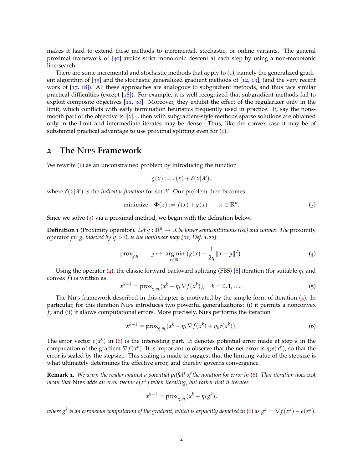makes it hard to extend these methods to incremental, stochastic, or online variants. The general proximal framework of [[40](#page-14-6)] avoids strict monotonic descent at each step by using a non-monotonic line-search.

There are some incremental and stochastic methods that apply to  $(1)$  $(1)$  $(1)$ , namely the generalized gradient algorithm of [[35](#page-14-7)] and the stochastic generalized gradient methods of [[12](#page-13-10), [13](#page-13-11)], (and the very recent work of [[17](#page-13-9), [18](#page-13-7)]). All these approaches are analogous to subgradient methods, and thus face similar practical difficulties (except [[18](#page-13-7)]). For example, it is well-recognized that subgradient methods fail to exploit composite objectives [[11](#page-13-12), [30](#page-14-0)]. Moreover, they exhibit the effect of the regularizer only in the limit, which conflicts with early termination heuristics frequently used in practice. If, say the nonsmooth part of the objective is  $||x||_1$ , then with subgradient-style methods sparse solutions are obtained only in the limit and intermediate iterates may be dense. Thus, like the convex case it may be of substantial practical advantage to use proximal splitting even for ([1](#page-0-0)).

### **2 The** Nips **Framework**

We rewrite  $(1)$  $(1)$  $(1)$  as an unconstrained problem by introducing the function

<span id="page-1-1"></span><span id="page-1-0"></span>
$$
g(x) := r(x) + \delta(x|\mathcal{X}),
$$

where  $\delta(x|\mathcal{X})$  is the *indicator function* for set X. Our problem then becomes:

minimize 
$$
\Phi(x) := f(x) + g(x)
$$
  $x \in \mathbb{R}^n$ . (3)

Since we solve  $(3)$  $(3)$  $(3)$  via a proximal method, we begin with the definition below.

**Definition 1** (Proximity operator). Let  $g : \mathbb{R}^n \to \mathbb{R}$  be lower semicontinuous (lsc) and convex. The proximity operator *for g, indexed by η* > 0*, is the nonlinear map [[31](#page-14-8), Def. 1.22]:*

$$
\text{prox}_{g,\eta} : y \mapsto \underset{x \in \mathbb{R}^n}{\text{argmin}} \ (g(x) + \frac{1}{2\eta} \|x - y\|^2). \tag{4}
$$

Using the operator ([4](#page-1-1)), the classic forward-backward splitting (FBS) [[8](#page-13-13)] iteration (for suitable *η<sup>k</sup>* and convex *f*) is written as

<span id="page-1-2"></span>
$$
x^{k+1} = \operatorname{prox}_{g,\eta_k}(x^k - \eta_k \nabla f(x^k)), \quad k = 0, 1, \dots
$$
 (5)

The Nips framework described in this chapter is motivated by the simple form of iteration  $(5)$  $(5)$  $(5)$ . In particular, for this iteration Nips introduces two powerful generalizations: (i) it permits a nonconvex *f* ; and (ii) it allows computational errors. More precisely, Nips performs the iteration

<span id="page-1-3"></span>
$$
x^{k+1} = \operatorname{prox}_{g,\eta_k}(x^k - \eta_k \nabla f(x^k) + \eta_k e(x^k)).
$$
\n(6)

The error vector  $e(x^k)$  in ([6](#page-1-3)) is the interesting part. It denotes potential error made at step  $k$  in the computation of the gradient  $\nabla f(x^k)$ . It is important to observe that the net error is  $\eta_k e(x^k)$ , so that the error is scaled by the stepsize. This scaling is made to suggest that the limiting value of the stepsize is what ultimately determines the effective error, and thereby governs convergence.

**Remark 1.** *We warn the reader against a potential pitfall of the notation for error in* ([6](#page-1-3))*. That iteration does* not mean that Nirs adds an error vector  $e(x^k)$  when iterating, but rather that it iterates

$$
x^{k+1} = \operatorname{prox}_{g,\eta_k}(x^k - \eta_k g^k),
$$

where  $g^k$  is an erroneous computation of the gradient, which is explicitly depicted in ([6](#page-1-3)) as  $g^k = \nabla f(x^k) - e(x^k).$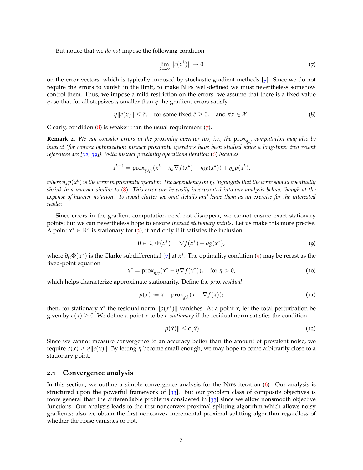But notice that we *do not* impose the following condition

<span id="page-2-1"></span><span id="page-2-0"></span>
$$
\lim_{k \to \infty} \|e(x^k)\| \to 0 \tag{7}
$$

on the error vectors, which is typically imposed by stochastic-gradient methods [[5](#page-12-3)]. Since we do not require the errors to vanish in the limit, to make Nips well-defined we must nevertheless somehow control them. Thus, we impose a mild restriction on the errors: we assume that there is a fixed value *η*, so that for all stepsizes *η* smaller than *η* the gradient errors satisfy

$$
\eta \|e(x)\| \le \bar{\epsilon}, \quad \text{for some fixed } \bar{\epsilon} \ge 0, \quad \text{and } \forall x \in \mathcal{X}.
$$
 (8)

Clearly, condition  $(8)$  $(8)$  $(8)$  is weaker than the usual requirement  $(7)$  $(7)$  $(7)$ .

**Remark 2.** *We can consider errors in the proximity operator too, i.e., the* prox*g*,*<sup>η</sup> computation may also be inexact (for convex optimization inexact proximity operators have been studied since a long-time; two recent references are [[32](#page-14-9), [39](#page-14-10)]). With inexact proximity operations iteration* ([6](#page-1-3)) *becomes*

$$
x^{k+1} = \text{prox}_{g,\eta_k}(x^k - \eta_k \nabla f(x^k) + \eta_k e(x^k)) + \eta_k p(x^k),
$$

*where η<sup>k</sup> p*(*x k* ) *is the error in proximity operator. The dependency on η<sup>k</sup> highlights that the error should eventually shrink in a manner similar to* ([8](#page-2-0))*. This error can be easily incorporated into our analysis below, though at the expense of heavier notation. To avoid clutter we omit details and leave them as an exercise for the interested reader.*

Since errors in the gradient computation need not disappear, we cannot ensure exact stationary points; but we can nevertheless hope to ensure *inexact stationary points*. Let us make this more precise. A point  $x^* \in \mathbb{R}^n$  is stationary for ([3](#page-1-0)), if and only if it satisfies the inclusion

<span id="page-2-2"></span>
$$
0 \in \partial_C \Phi(x^*) = \nabla f(x^*) + \partial g(x^*), \tag{9}
$$

where *∂C*Φ(*x* ∗ ) is the Clarke subdifferential [[7](#page-13-14)] at *x* ∗ . The optimality condition ([9](#page-2-2)) may be recast as the fixed-point equation

$$
x^* = \text{prox}_{g,\eta}(x^* - \eta \nabla f(x^*)), \quad \text{for } \eta > 0,
$$
 (10)

which helps characterize approximate stationarity. Define the *prox-residual*

$$
\rho(x) := x - \text{prox}_{g,1}(x - \nabla f(x));\tag{11}
$$

then, for stationary  $x^*$  the residual norm  $\|\rho(x^*)\|$  vanishes. At a point *x*, let the total perturbation be given by  $\epsilon(x) \geq 0$ . We define a point  $\bar{x}$  to be  $\epsilon$ -*stationary* if the residual norm satisfies the condition

$$
\|\rho(\bar{x})\| \le \epsilon(\bar{x}).\tag{12}
$$

Since we cannot measure convergence to an accuracy better than the amount of prevalent noise, we require  $\varepsilon(x) \ge \eta \|e(x)\|$ . By letting  $\eta$  become small enough, we may hope to come arbitrarily close to a stationary point.

#### **2.1 Convergence analysis**

In this section, we outline a simple convergence analysis for the Nips iteration  $(6)$  $(6)$  $(6)$ . Our analysis is structured upon the powerful framework of [[33](#page-14-5)]. But our problem class of composite objectives is more general than the differentiable problems considered in [[33](#page-14-5)] since we allow nonsmooth objective functions. Our analysis leads to the first nonconvex proximal splitting algorithm which allows noisy gradients; also we obtain the first nonconvex incremental proximal splitting algorithm regardless of whether the noise vanishes or not.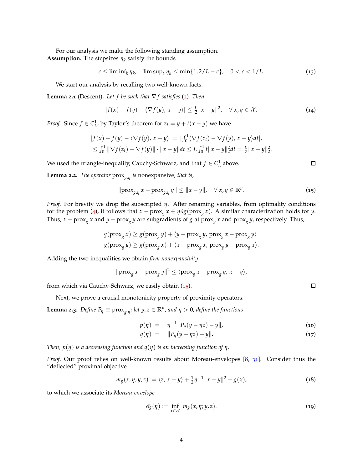For our analysis we make the following standing assumption. **Assumption.** The stepsizes  $\eta_k$  satisfy the bounds

<span id="page-3-6"></span> $c \le \liminf_k \eta_k$ ,  $\limsup_k \eta_k \le \min\{1, 2/L - c\}$ ,  $0 < c < 1/L$ . (13)

We start our analysis by recalling two well-known facts.

<span id="page-3-5"></span>**Lemma [2](#page-0-2).1** (Descent). Let f be such that  $\nabla f$  satisfies (2). Then

$$
|f(x)-f(y)-\langle \nabla f(y), x-y\rangle| \leq \frac{L}{2}||x-y||^2, \quad \forall x, y \in \mathcal{X}.
$$
 (14)

*Proof.* Since  $f \in C^1_L$ , by Taylor's theorem for  $z_t = y + t(x - y)$  we have

$$
|f(x)-f(y)-\langle \nabla f(y), x-y\rangle|=| \int_0^1 \langle \nabla f(z_t)-\nabla f(y), x-y\rangle dt |,
$$
  
\n
$$
\leq \int_0^1 \|\nabla f(z_t)-\nabla f(y)\| \cdot \|x-y\| dt \leq L \int_0^1 t \|x-y\|_2^2 dt = \frac{L}{2} \|x-y\|_2^2.
$$

We used the triangle-inequality, Cauchy-Schwarz, and that  $f \in C^1_L$  above.

**Lemma 2.2.** *The operator* prox*g*,*<sup>η</sup> is* nonexpansive*, that is,*

$$
\|\text{prox}_{g,\eta} x - \text{prox}_{g,\eta} y\| \le \|x - y\|, \quad \forall \ x, y \in \mathbb{R}^n. \tag{15}
$$

*Proof.* For brevity we drop the subscripted *η*. After renaming variables, from optimality conditions for the problem ([4](#page-1-1)), it follows that  $x - prox_{g} x \in \eta \partial g (prox_{g} x)$ . A similar characterization holds for *y*. Thus,  $x - prox_{g} x$  and  $y - prox_{g} y$  are subgradients of *g* at  $prox_{g} x$  and  $prox_{g} y$ , respectively. Thus,

$$
g(\operatorname{prox}_{g} x) \ge g(\operatorname{prox}_{g} y) + \langle y - \operatorname{prox}_{g} y, \operatorname{prox}_{g} x - \operatorname{prox}_{g} y \rangle
$$
  

$$
g(\operatorname{prox}_{g} y) \ge g(\operatorname{prox}_{g} x) + \langle x - \operatorname{prox}_{g} x, \operatorname{prox}_{g} y - \operatorname{prox}_{g} x \rangle.
$$

Adding the two inequalities we obtain *firm nonexpansivity*

$$
\|\text{prox}_{g} x - \text{prox}_{g} y\|^2 \le \langle \text{prox}_{g} x - \text{prox}_{g} y, x - y \rangle,
$$

from which via Cauchy-Schwarz, we easily obtain ([15](#page-3-0)).

Next, we prove a crucial monotonicity property of proximity operators.

<span id="page-3-7"></span>**Lemma 2.3.** Define  $P_\eta \equiv \text{prox}_{g,\eta}$ ; let  $y,z \in \mathbb{R}^n$ , and  $\eta > 0$ ; define the functions

$$
p(\eta) := \eta^{-1} \| P_{\eta}(y - \eta z) - y \|, \tag{16}
$$

$$
q(\eta) := \|P_{\eta}(y - \eta z) - y\|.
$$
 (17)

*Then, p*(*η*) *is a decreasing function and q*(*η*) *is an increasing function of η.*

Proof. Our proof relies on well-known results about Moreau-envelopes [[8](#page-13-13), [31](#page-14-8)]. Consider thus the "deflected" proximal objective

<span id="page-3-4"></span>
$$
m_g(x, \eta; y, z) := \langle z, x - y \rangle + \frac{1}{2} \eta^{-1} ||x - y||^2 + g(x), \tag{18}
$$

to which we associate its *Moreau-envelope*

<span id="page-3-1"></span>
$$
\mathscr{E}_{g}(\eta) := \inf_{x \in \mathcal{X}} m_{g}(x, \eta; y, z). \tag{19}
$$

<span id="page-3-3"></span><span id="page-3-2"></span>

<span id="page-3-0"></span> $\Box$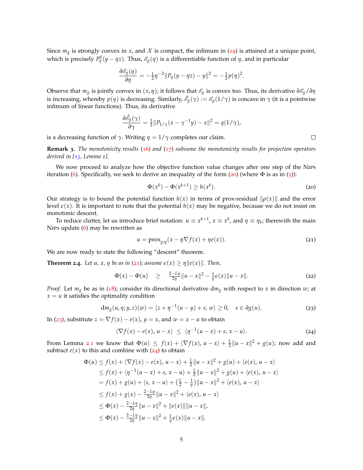Since  $m_g$  is strongly convex in *x*, and *X* is compact, the infimum in ([19](#page-3-1)) is attained at a unique point, which is precisely  $P_{\eta}^{g}(y-\eta z)$ . Thus,  $\mathscr{E}_{g}(\eta)$  is a differentiable function of  $\eta$ , and in particular

$$
\frac{\partial \mathscr{E}_{g}(\eta)}{\partial \eta} = -\frac{1}{2}\eta^{-2} \|P_{\eta}(y - \eta z) - y\|^2 = -\frac{1}{2}p(\eta)^2.
$$

Observe that  $m_g$  is jointly convex in  $(x, \eta)$ ; it follows that  $\mathscr{E}_g$  is convex too. Thus, its derivative  $\partial \mathscr{E}_g / \partial \eta$ is increasing, whereby  $p(\eta)$  is decreasing. Similarly,  $\hat{e_g}(\gamma):=\hat{e_g}(1/\gamma)$  is concave in  $\gamma$  (it is a pointwise infimum of linear functions). Thus, its derivative

$$
\frac{\partial \hat{\mathscr{E}}_g(\gamma)}{\partial \gamma} = \frac{1}{2} ||P_{1/\gamma}(x - \gamma^{-1}y) - x||^2 = q(1/\gamma),
$$

is a decreasing function of  $\gamma$ . Writing  $η = 1/γ$  completes our claim.

**Remark 3.** *The monotonicity results* ([16](#page-3-2)) *and* ([17](#page-3-3)) *subsume the monotonicity results for projection operators derived in [[15](#page-13-15), Lemma 1].*

We now proceed to analyze how the objective function value changes after one step of the Nips iteration ([6](#page-1-3)). Specifically, we seek to derive an inequality of the form ([20](#page-4-0)) (where  $\Phi$  is as in ([3](#page-1-0))):

$$
\Phi(x^k) - \Phi(x^{k+1}) \ge h(x^k). \tag{20}
$$

Our strategy is to bound the potential function  $h(x)$  in terms of prox-residual  $\|\rho(x)\|$  and the error level  $\varepsilon(x)$ . It is important to note that the potential  $h(x)$  may be negative, because we do not insist on monotonic descent.

To reduce clutter, let us introduce brief notation:  $u\equiv x^{k+1}$ ,  $x\equiv x^k$ , and  $\eta\equiv \eta_k$ ; therewith the main Nips update ([6](#page-1-3)) may be rewritten as

<span id="page-4-4"></span><span id="page-4-1"></span>
$$
u = \text{prox}_{g,\eta}(x - \eta \nabla f(x) + \eta e(x)).
$$
\n(21)

We are now ready to state the following "descent" theorem.

<span id="page-4-5"></span>**Theorem 2.4.** Let u, x,  $\eta$  be as in ([21](#page-4-1)); assume  $\epsilon(x) \geq \eta ||e(x)||$ . Then,

<span id="page-4-2"></span>
$$
\Phi(x) - \Phi(u) \geq \frac{2 - L\eta}{2\eta} \|u - x\|^2 - \frac{1}{\eta} \epsilon(x) \|u - x\|.
$$
 (22)

*Proof.* Let  $m_g$  be as in ([18](#page-3-4)); consider its directional derivative d $m_g$  with respect to *x* in direction *w*; at  $x = u$  it satisfies the optimality condition

$$
dm_g(u,\eta;y,z)(w) = \langle z + \eta^{-1}(u-y) + s, w \rangle \ge 0, \quad s \in \partial g(u). \tag{23}
$$

In ([23](#page-4-2)), substitute  $z = \nabla f(x) - e(x)$ ,  $y = x$ , and  $w = x - u$  to obtain

<span id="page-4-3"></span>
$$
\langle \nabla f(x) - e(x), u - x \rangle \leq \langle \eta^{-1}(u - x) + s, x - u \rangle.
$$
 (24)

From Lemma [2](#page-3-5).1 we know that  $\Phi(u) \leq f(x) + \langle \nabla f(x), u - x \rangle + \frac{L}{2} ||u - x||^2 + g(u)$ ; now add and subtract  $e(x)$  to this and combine with  $(24)$  $(24)$  $(24)$  to obtain

$$
\Phi(u) \le f(x) + \langle \nabla f(x) - e(x), u - x \rangle + \frac{L}{2} ||u - x||^2 + g(u) + \langle e(x), u - x \rangle
$$
  
\n
$$
\le f(x) + \langle \eta^{-1}(u - x) + s, x - u \rangle + \frac{L}{2} ||u - x||^2 + g(u) + \langle e(x), u - x \rangle
$$
  
\n
$$
= f(x) + g(u) + \langle s, x - u \rangle + (\frac{L}{2} - \frac{1}{\eta}) ||u - x||^2 + \langle e(x), u - x \rangle
$$
  
\n
$$
\le f(x) + g(x) - \frac{2 - L\eta}{2\eta} ||u - x||^2 + \langle e(x), u - x \rangle
$$
  
\n
$$
\le \Phi(x) - \frac{2 - L\eta}{2\eta} ||u - x||^2 + ||e(x)|| ||u - x||,
$$
  
\n
$$
\le \Phi(x) - \frac{2 - L\eta}{2\eta} ||u - x||^2 + \frac{1}{\eta} \epsilon(x) ||u - x||.
$$

<span id="page-4-0"></span> $\Box$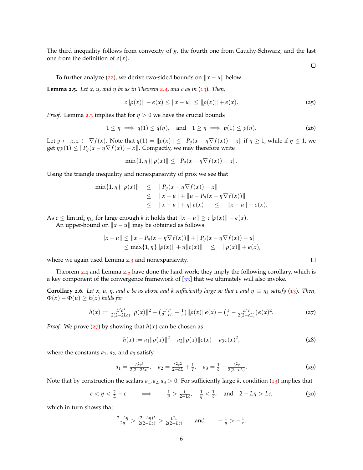The third inequality follows from convexity of *g*, the fourth one from Cauchy-Schwarz, and the last one from the definition of  $\varepsilon(x)$ .

<span id="page-5-2"></span> $\Box$ 

To further analyze ([22](#page-4-4)), we derive two-sided bounds on  $||x - u||$  below.

<span id="page-5-0"></span>**Lemma 2.5.** *Let x, u, and η be as in Theorem [2](#page-4-5).4, and c as in* ([13](#page-3-6))*. Then,*

$$
c\|\rho(x)\| - \epsilon(x) \le \|x - u\| \le \|\rho(x)\| + \epsilon(x). \tag{25}
$$

*Proof.* Lemma [2](#page-3-7).3 implies that for *η* > 0 we have the crucial bounds

$$
1 \le \eta \implies q(1) \le q(\eta), \quad \text{and} \quad 1 \ge \eta \implies p(1) \le p(\eta). \tag{26}
$$

Let  $y \leftarrow x, z \leftarrow \nabla f(x)$ . Note that  $q(1) = ||\rho(x)|| \le ||P_{\eta}(x - \eta \nabla f(x)) - x||$  if  $\eta \ge 1$ , while if  $\eta \le 1$ , we get  $\eta p(1) \leq ||P_{\eta}(x - \eta \nabla f(x)) - x||$ . Compactly, we may therefore write

 $\min\{1, \eta\}$   $\|\rho(x)\| \leq \|P_n(x - \eta \nabla f(x)) - x\|.$ 

Using the triangle inequality and nonexpansivity of prox we see that

$$
\min\{1,\eta\}\|\rho(x)\| \leq \|P_{\eta}(x-\eta\nabla f(x)) - x\| \leq \|x - u\| + \|u - P_{\eta}(x - \eta\nabla f(x))\| \leq \|x - u\| + \eta\|e(x)\| \leq \|x - u\| + \epsilon(x).
$$

As  $c \leq \liminf_k \eta_k$ , for large enough  $k$  it holds that  $||x - u|| \geq c||\rho(x)|| - \epsilon(x)$ .

An upper-bound on  $\|x - u\|$  may be obtained as follows

$$
||x - u|| \le ||x - P_{\eta}(x - \eta \nabla f(x))|| + ||P_{\eta}(x - \eta \nabla f(x)) - u||
$$
  
\n
$$
\le \max\{1, \eta\} ||\rho(x)|| + \eta ||e(x)|| \le ||\rho(x)|| + \epsilon(x),
$$

where we again used Lemma [2](#page-3-7).3 and nonexpansivity.

Theorem [2](#page-4-5).4 and Lemma [2](#page-5-0).5 have done the hard work; they imply the following corollary, which is a key component of the convergence framework of  $[33]$  $[33]$  $[33]$  that we ultimately will also invoke.

<span id="page-5-3"></span>**Corollary 2.6.** Let x, u,  $\eta$ , and c be as above and k sufficiently large so that c and  $\eta \equiv \eta_k$  satisfy ([13](#page-3-6)). Then,  $\Phi(x) - \Phi(u) \geq h(x)$  *holds for* 

<span id="page-5-1"></span>
$$
h(x) := \frac{L^2 c^3}{2(2 - 2Lc)} \|\rho(x)\|^2 - \left(\frac{L^2 c^2}{2 - cL} + \frac{1}{c}\right) \|\rho(x)\| \epsilon(x) - \left(\frac{1}{c} - \frac{L^2 c}{2(2 - cL)}\right) \epsilon(x)^2.
$$
 (27)

*Proof.* We prove ([27](#page-5-1)) by showing that  $h(x)$  can be chosen as

$$
h(x) := a_1 \|\rho(x)\|^2 - a_2 \|\rho(x)\| \epsilon(x) - a_3 \epsilon(x)^2,
$$
 (28)

where the constants  $a_1$ ,  $a_2$ , and  $a_3$  satisfy

$$
a_1 = \frac{L^2 c^3}{2(2 - 2Lc)}, \quad a_2 = \frac{L^2 c^2}{2 - cL} + \frac{1}{c}, \quad a_3 = \frac{1}{c} - \frac{L^2 c}{2(2 - cL)}.
$$
 (29)

Note that by construction the scalars  $a_1$ ,  $a_2$ ,  $a_3 > 0$ . For sufficiently large *k*, condition ([13](#page-3-6)) implies that

$$
c < \eta < \frac{2}{L} - c \qquad \implies \qquad \frac{1}{\eta} > \frac{L}{2 - Lc}, \quad \frac{1}{\eta} < \frac{1}{c}, \quad \text{and} \quad 2 - L\eta > Lc,\tag{30}
$$

which in turn shows that

$$
\frac{2-L\eta}{2\eta} > \frac{(2-L\eta)L}{2(2-Lc)} > \frac{L^2c}{2(2-Lc)} \quad \text{and} \quad -\frac{1}{\eta} > -\frac{1}{c}.
$$

 $\Box$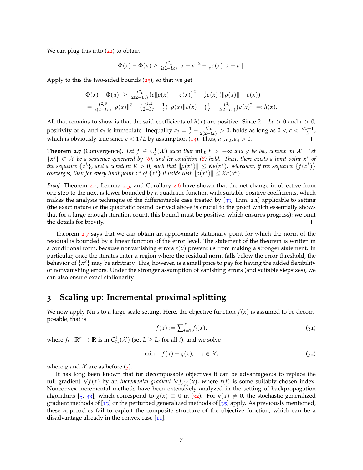We can plug this into  $(22)$  $(22)$  $(22)$  to obtain

$$
\Phi(x) - \Phi(u) \ge \frac{L^2c}{2(2-Lc)} ||x - u||^2 - \frac{1}{c}\epsilon(x) ||x - u||.
$$

Apply to this the two-sided bounds ([25](#page-5-2)), so that we get

$$
\Phi(x) - \Phi(u) \ge \frac{L^2 c}{2(2 - Lc)} (c||\rho(x)|| - \epsilon(x))^2 - \frac{1}{c} \epsilon(x) (||\rho(x)|| + \epsilon(x))
$$
  
= 
$$
\frac{L^2 c^3}{2(2 - Lc)} ||\rho(x)||^2 - (\frac{L^2 c^2}{2 - Lc} + \frac{1}{c}) ||\rho(x)|| \epsilon(x) - (\frac{1}{c} - \frac{L^2 c}{2(2 - Lc)}) \epsilon(x)^2 =: h(x).
$$

All that remains to show is that the said coefficients of *h*(*x*) are positive. Since 2 − *Lc* > 0 and *c* > 0, positivity of *a*<sub>1</sub> and *a*<sub>2</sub> is immediate. Inequality  $a_3 = \frac{1}{c} - \frac{L^2c}{2(2-Lc)} > 0$ , holds as long as  $0 < c <$ √ 5−1 *L* , which is obviously true since  $c < 1/L$  by assumption ([13](#page-3-6)). Thus,  $a_1, a_2, a_3 > 0$ .

<span id="page-6-0"></span>**Theorem 2.7** (Convergence). Let  $f \in C^1_L(\mathcal{X})$  such that  $\inf_{\mathcal{X}} f > -\infty$  and g be lsc, convex on X. Let {*x <sup>k</sup>*} ⊂ X *be a sequence generated by ([6](#page-1-3)), and let condition ([8](#page-2-0)) hold. Then, there exists a limit point x*<sup>∗</sup> *of* the sequence  $\{x^k\}$ , and a constant  $K>0$ , such that  $\|\rho(x^*)\|\leq K \epsilon(x^*)$ . Moreover, if the sequence  $\{f(x^k)\}$ *converges, then for every limit point*  $x^*$  *of*  $\{x^k\}$  *it holds that*  $\|\rho(x^*)\| \leq K\epsilon(x^*)$ *.* 

*Proof.* Theorem [2](#page-4-5).4, Lemma [2](#page-5-0).5, and Corollary [2](#page-5-3).6 have shown that the net change in objective from one step to the next is lower bounded by a quadratic function with suitable positive coefficients, which makes the analysis technique of the differentiable case treated by [[33](#page-14-5), Thm. 2.1] applicable to setting (the exact nature of the quadratic bound derived above is crucial to the proof which essentially shows that for a large enough iteration count, this bound must be positive, which ensures progress); we omit the details for brevity. □

Theorem [2](#page-6-0).7 says that we can obtain an approximate stationary point for which the norm of the residual is bounded by a linear function of the error level. The statement of the theorem is written in a conditional form, because nonvanishing errors  $e(x)$  prevent us from making a stronger statement. In particular, once the iterates enter a region where the residual norm falls below the error threshold, the  $\bar{\text{b}}$ ehavior of  $\{x^k\}$  may be arbitrary. This, however, is a small price to pay for having the added flexibility of nonvanishing errors. Under the stronger assumption of vanishing errors (and suitable stepsizes), we can also ensure exact stationarity.

## **3 Scaling up: Incremental proximal splitting**

<span id="page-6-2"></span>We now apply Nirs to a large-scale setting. Here, the objective function  $f(x)$  is assumed to be decomposable, that is

<span id="page-6-1"></span>
$$
f(x) := \sum_{t=1}^{T} f_t(x),
$$
\n(31)

where  $f_t: \mathbb{R}^n \to \mathbb{R}$  is in  $C^1_{L_t}(\mathcal{X})$  (set  $L \geq L_t$  for all *t*), and we solve

$$
\min \quad f(x) + g(x), \quad x \in \mathcal{X}, \tag{32}
$$

where *g* and  $\mathcal{X}$  are as before ([3](#page-1-0)).

It has long been known that for decomposable objectives it can be advantageous to replace the full gradient  $\nabla f(x)$  by an *incremental gradient*  $\nabla f_{r(t)}(x)$ , where  $r(t)$  is some suitably chosen index. Nonconvex incremental methods have been extensively analyzed in the setting of backpropagation algorithms [[5](#page-12-3), [33](#page-14-5)], which correspond to  $g(x) \equiv 0$  in ([32](#page-6-1)). For  $g(x) \neq 0$ , the stochastic generalized gradient methods of  $\lceil 13 \rceil$  $\lceil 13 \rceil$  $\lceil 13 \rceil$  or the perturbed generalized methods of  $\lceil 35 \rceil$  $\lceil 35 \rceil$  $\lceil 35 \rceil$  apply. As previously mentioned, these approaches fail to exploit the composite structure of the objective function, which can be a disadvantage already in the convex case  $[11]$  $[11]$  $[11]$ .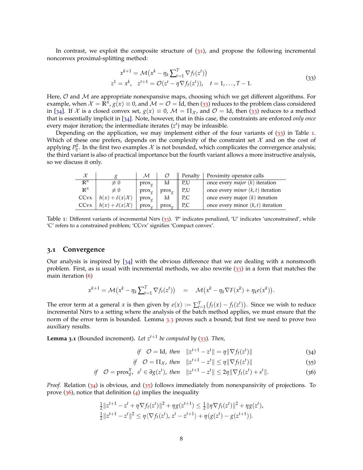In contrast, we exploit the composite structure of  $(31)$  $(31)$  $(31)$ , and propose the following incremental nonconvex proximal-splitting method:

<span id="page-7-1"></span><span id="page-7-0"></span>
$$
x^{k+1} = \mathcal{M}(x^k - \eta_k \sum_{t=1}^T \nabla f_t(z^t))
$$
  
\n
$$
z^1 = x^k, \quad z^{t+1} = \mathcal{O}(z^t - \eta \nabla f_t(z^t)), \quad t = 1, ..., T-1.
$$
\n(33)

Here,  $\mathcal O$  and  $\mathcal M$  are appropriate nonexpansive maps, choosing which we get different algorithms. For example, when  $\mathcal{X}=\tilde{\mathbb{R}^n}$ ,  $g(x)\equiv 0$ , and  $\mathcal{M}=\mathcal{O}=\tilde{\rm{Id}}$ , then ([33](#page-7-0)) reduces to the problem class considered in [[34](#page-14-11)]. If X is a closed convex set,  $g(x) \equiv 0$ ,  $\mathcal{M} = \Pi_{\mathcal{X}}$ , and  $\mathcal{O} =$  Id, then ([33](#page-7-0)) reduces to a method that is essentially implicit in [[34](#page-14-11)]. Note, however, that in this case, the constraints are enforced *only once* every major iteration; the intermediate iterates  $(z<sup>t</sup>)$  may be infeasible.

Depending on the application, we may implement either of the four variants of  $(33)$  $(33)$  $(33)$  in Table [1](#page-7-1). Which of these one prefers, depends on the complexity of the constraint set  $\mathcal X$  and on the cost of applying  $P_{\eta}^g$ . In the first two examples  $\mathcal X$  is not bounded, which complicates the convergence analysis; the third variant is also of practical importance but the fourth variant allows a more instructive analysis, so we discuss it only.

|                |                                          | м               |                        | $\parallel$ Penalty | Proximity operator calls                   |
|----------------|------------------------------------------|-----------------|------------------------|---------------------|--------------------------------------------|
| $\mathbb{R}^n$ | $\neq 0$                                 | $prox_{\alpha}$ | Id                     | $\parallel$ P,U     | once every <i>major</i> $(k)$ iteration    |
| $\mathbb{R}^n$ | $\neq 0$                                 | $prox_{\alpha}$ | $prox_{\sigma}$    P,U |                     | once every <i>minor</i> $(k, t)$ iteration |
|                | CCvx $\mid h(x) + \delta(x \mathcal{X})$ | $prox_{\sigma}$ | Id                     | $\parallel$ P,C     | once every major $(k)$ iteration           |
|                | $CCvx \mid h(x) + \delta(x \mathcal{X})$ | $prox_{\alpha}$ | $prox_{\alpha}$   PC   |                     | once every minor $(k, t)$ iteration        |

Table 1: Different variants of incremental Nips  $(33)$  $(33)$  $(33)$ . 'P' indicates penalized, 'U' indicates 'unconstrained', while 'C' refers to a constrained problem; 'CCvx' signifies 'Compact convex'.

#### **3.1 Convergence**

Our analysis is inspired by  $[34]$  $[34]$  $[34]$  with the obvious difference that we are dealing with a nonsmooth problem. First, as is usual with incremental methods, we also rewrite ([33](#page-7-0)) in a form that matches the main iteration ([6](#page-1-3))

$$
x^{k+1} = \mathcal{M}(x^k - \eta_k \sum_{t=1}^T \nabla f_t(z^t)) = \mathcal{M}(x^k - \eta_k \nabla F(x^k) + \eta_k e(x^k)).
$$

The error term at a general *x* is then given by  $e(x) := \sum_{t=1}^{T} (f_t(x) - f_t(z^t))$ . Since we wish to reduce incremental Nips to a setting where the analysis of the batch method applies, we must ensure that the norm of the error term is bounded. Lemma [3](#page-8-0).3 proves such a bound; but first we need to prove two auxiliary results.

<span id="page-7-5"></span>**Lemma 3.1** (Bounded increment)**.** *Let zt*+<sup>1</sup> *be computed by* ([33](#page-7-0))*. Then,*

<span id="page-7-4"></span><span id="page-7-3"></span><span id="page-7-2"></span>if 
$$
\mathcal{O} = \text{Id}
$$
, then  $||z^{t+1} - z^t|| = \eta ||\nabla f_t(z^t)||$  (34)

if 
$$
\mathcal{O} = \Pi_{\mathcal{X}}
$$
, then  $||z^{t+1} - z^t|| \leq \eta ||\nabla f_t(z^t)||$  (35)

if 
$$
\mathcal{O} = \text{prox}_{g}^{\eta}, s^t \in \partial g(z^t)
$$
, then  $||z^{t+1} - z^t|| \leq 2\eta ||\nabla f_t(z^t) + s^t||.$  (36)

*Proof.* Relation ([34](#page-7-2)) is obvious, and ([35](#page-7-3)) follows immediately from nonexpansivity of projections. To prove  $(36)$  $(36)$  $(36)$ , notice that definition  $(4)$  $(4)$  $(4)$  implies the inequality

$$
\frac{1}{2}||z^{t+1} - z^t + \eta \nabla f_t(z^t)||^2 + \eta g(z^{t+1}) \le \frac{1}{2}||\eta \nabla f_t(z^t)||^2 + \eta g(z^t),
$$
  

$$
\frac{1}{2}||z^{t+1} - z^t||^2 \le \eta \langle \nabla f_t(z^t), z^t - z^{t+1} \rangle + \eta (g(z^t) - g(z^{t+1})).
$$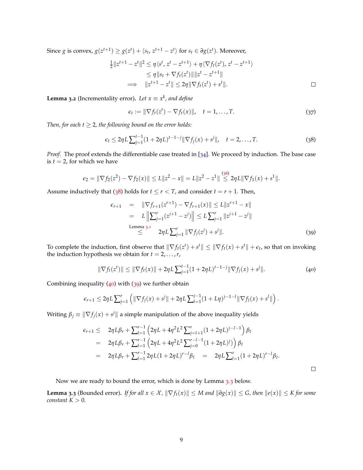Since *g* is convex,  $g(z^{t+1}) \geq g(z^t) + \langle s_t, z^{t+1} - z^t \rangle$  for  $s_t \in \partial g(z^t)$ . Moreover,

$$
\frac{1}{2}||z^{t+1} - z^t||^2 \le \eta \langle s^t, z^t - z^{t+1} \rangle + \eta \langle \nabla f_t(z^t), z^t - z^{t+1} \rangle
$$
  
\n
$$
\le \eta ||s_t + \nabla f_t(z^t)|| ||z^t - z^{t+1}||
$$
  
\n
$$
\implies ||z^{t+1} - z^t|| \le 2\eta ||\nabla f_t(z^t) + s^t||.
$$

<span id="page-8-4"></span>**Lemma 3.2** (Incrementality error). Let  $x \equiv x^k$ , and define

<span id="page-8-1"></span>
$$
\epsilon_t := \|\nabla f_t(z^t) - \nabla f_t(x)\|, \quad t = 1, \dots, T. \tag{37}
$$

*Then, for each*  $t \geq 2$ *, the following bound on the error holds:* 

$$
\epsilon_t \le 2\eta L \sum_{j=1}^{t-1} (1+2\eta L)^{t-1-j} \|\nabla f_j(x) + s^j\|, \quad t = 2, \dots, T. \tag{38}
$$

*Proof.* The proof extends the differentiable case treated in [[34](#page-14-11)]. We proceed by induction. The base case is  $t = 2$ , for which we have

$$
\epsilon_2 = \|\nabla f_2(z^2) - \nabla f_2(x)\| \le L \|z^2 - x\| = L \|z^2 - z^1\| \stackrel{(36)}{\le} 2\eta L \|\nabla f_1(x) + s^1\|.
$$

Assume inductively that ([38](#page-8-1)) holds for  $t \le r < T$ , and consider  $t = r + 1$ . Then,

<span id="page-8-3"></span><span id="page-8-2"></span>
$$
\epsilon_{r+1} = \|\nabla f_{r+1}(z^{r+1}) - \nabla f_{r+1}(x)\| \le L \|z^{r+1} - x\|
$$
  
\n
$$
= L \left\| \sum_{j=1}^r (z^{j+1} - z^j) \right\| \le L \sum_{j=1}^r \|z^{j+1} - z^j\|
$$
  
\nLemma 3.1  
\n
$$
\le 2\eta L \sum_{j=1}^r \|\nabla f_j(z^j) + s^j\|.
$$
 (39)

To complete the induction, first observe that  $\|\nabla f_t(z^t) + s^t\| \le \|\nabla f_t(x) + s^t\| + \epsilon_t$ , so that on invoking the induction hypothesis we obtain for  $t = 2, \ldots, r$ ,

$$
\|\nabla f_t(z^t)\| \le \|\nabla f_t(x)\| + 2\eta L \sum_{j=1}^{t-1} (1 + 2\eta L)^{t-1-j} \|\nabla f_j(x) + s^j\|.
$$
 (40)

Combining inequality  $(40)$  $(40)$  $(40)$  with  $(39)$  $(39)$  $(39)$  we further obtain

$$
\epsilon_{r+1} \leq 2\eta L \sum_{j=1}^r \left( \|\nabla f_j(x) + s^j\| + 2\eta L \sum_{l=1}^{j-1} (1 + L\eta)^{j-1-l} \|\nabla f_l(x) + s^l\|\right).
$$

Writing  $\beta_j \equiv \|\nabla f_j(x) + s^j\|$  a simple manipulation of the above inequality yields

$$
\epsilon_{r+1} \leq 2\eta L\beta_r + \sum_{l=1}^{r-1} \left( 2\eta L + 4\eta^2 L^2 \sum_{j=l+1}^r (1+2\eta L)^{j-l-1} \right) \beta_l
$$
  
=  $2\eta L\beta_r + \sum_{l=1}^{r-1} \left( 2\eta L + 4\eta^2 L^2 \sum_{j=0}^{r-l-1} (1+2\eta L)^j \right) \beta_l$   
=  $2\eta L\beta_r + \sum_{l=1}^{r-1} 2\eta L(1+2\eta L)^{r-l} \beta_l = 2\eta L \sum_{l=1}^r (1+2\eta L)^{r-l} \beta_l.$ 

Now we are ready to bound the error, which is done by Lemma [3](#page-8-0).3 below.

<span id="page-8-0"></span>**Lemma 3.3** (Bounded error). If for all  $x \in \mathcal{X}$ ,  $\|\nabla f_t(x)\| \leq M$  and  $\|\partial g(x)\| \leq G$ , then  $\|e(x)\| \leq K$  for some *constant*  $K > 0$ *.*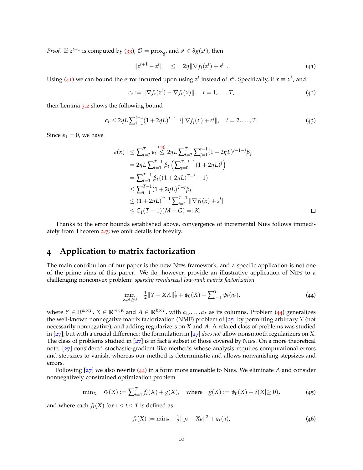*Proof.* If  $z^{t+1}$  is computed by ([33](#page-7-0)),  $\mathcal{O} = \text{prox}_{g}$ , and  $s^t \in \partial g(z^t)$ , then

<span id="page-9-0"></span>
$$
||z^{t+1} - z^t|| \leq 2\eta ||\nabla f_t(z^t) + s^t||. \tag{41}
$$

Using ([41](#page-9-0)) we can bound the error incurred upon using  $z^t$  instead of  $x^k$ . Specifically, if  $x \equiv x^k$ , and

<span id="page-9-1"></span>
$$
\epsilon_t := \|\nabla f_t(z^t) - \nabla f_t(x)\|, \quad t = 1, \dots, T,
$$
\n(42)

then Lemma [3](#page-8-4).2 shows the following bound

$$
\epsilon_t \le 2\eta L \sum_{j=1}^{t-1} (1+2\eta L)^{t-1-j} \|\nabla f_j(x) + s^j\|, \quad t = 2, ..., T. \tag{43}
$$

Since  $\epsilon_1 = 0$ , we have

$$
||e(x)|| \leq \sum_{t=2}^{T} \epsilon_t \stackrel{(43)}{\leq} 2\eta L \sum_{t=2}^{T} \sum_{j=1}^{t-1} (1 + 2\eta L)^{t-1-j} \beta_j
$$
  
=  $2\eta L \sum_{t=1}^{T-1} \beta_t \left( \sum_{j=0}^{T-t-1} (1 + 2\eta L)^j \right)$   
=  $\sum_{t=1}^{T-1} \beta_t ((1 + 2\eta L)^{T-t} - 1)$   
 $\leq \sum_{t=1}^{T-1} (1 + 2\eta L)^{T-t} \beta_t$   
 $\leq (1 + 2\eta L)^{T-1} \sum_{t=1}^{T-1} ||\nabla f_t(x) + s^t||$   
 $\leq C_1 (T-1)(M + G) =: K.$ 

Thanks to the error bounds established above, convergence of incremental Nips follows immediately from Theorem [2](#page-6-0).7; we omit details for brevity.

# **4 Application to matrix factorization**

The main contribution of our paper is the new Nips framework, and a specific application is not one of the prime aims of this paper. We do, however, provide an illustrative application of Nips to a challenging nonconvex problem: *sparsity regularized low-rank matrix factorization*

<span id="page-9-2"></span>
$$
\min_{X,A\geq 0} \quad \frac{1}{2} \|Y - XA\|_{\mathcal{F}}^2 + \psi_0(X) + \sum_{t=1}^T \psi_t(a_t), \tag{44}
$$

where  $Y \in \mathbb{R}^{m \times T}$ ,  $X \in \mathbb{R}^{m \times K}$  and  $A \in \mathbb{R}^{K \times T}$ , with  $a_1, \ldots, a_T$  as its columns. Problem ([44](#page-9-2)) generalizes the well-known nonnegative matrix factorization (NMF) problem of [[25](#page-13-2)] by permitting arbitrary *Y* (not necessarily nonnegative), and adding regularizers on *X* and *A*. A related class of problems was studied in [[27](#page-14-3)], but with a crucial difference: the formulation in [[27](#page-14-3)] *does not* allow nonsmooth regularizers on *X*. The class of problems studied in [[27](#page-14-3)] is in fact a subset of those covered by Nips. On a more theoretical note, [[27](#page-14-3)] considered stochastic-gradient like methods whose analysis requires computational errors and stepsizes to vanish, whereas our method is deterministic and allows nonvanishing stepsizes and errors.

Following [[27](#page-14-3)] we also rewrite ([44](#page-9-2)) in a form more amenable to Nips. We eliminate *A* and consider nonnegatively constrained optimization problem

$$
\min_X \quad \Phi(X) := \sum_{t=1}^T f_t(X) + g(X), \quad \text{where} \quad g(X) := \psi_0(X) + \delta(X) \ge 0), \tag{45}
$$

and where each  $f_t(X)$  for  $1 \le t \le T$  is defined as

<span id="page-9-4"></span><span id="page-9-3"></span>
$$
f_t(X) := \min_a \quad \frac{1}{2} \|y_t - Xa\|^2 + g_t(a), \tag{46}
$$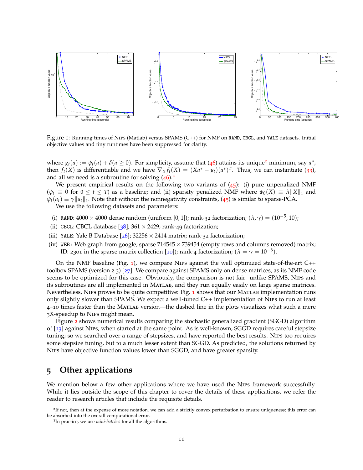

<span id="page-10-2"></span>Figure 1: Running times of Nips (Matlab) versus SPAMS (C++) for NMF on RAND, CBCL, and YALE datasets. Initial objective values and tiny runtimes have been suppressed for clarity.

where  $g_t(a) := \psi_t(a) + \delta(a | \ge 0)$ . For simplicity, assume that ([46](#page-9-3)) attains its unique<sup>[2](#page-10-0)</sup> minimum, say  $a^*$ , then  $f_t(X)$  is differentiable and we have  $\nabla_X f_t(X) = (Xa^* - y_t)(a^*)^T$ . Thus, we can instantiate ([33](#page-7-0)), and all we need is a subroutine for solving  $(46)^3$  $(46)^3$  $(46)^3$  $(46)^3$ 

We present empirical results on the following two variants of  $(45)$  $(45)$  $(45)$ : (i) pure unpenalized NMF  $(\psi_t \equiv 0 \text{ for } 0 \le t \le T)$  as a baseline; and (ii) sparsity penalized NMF where  $\psi_0(X) \equiv \lambda ||X||_1$  and  $\psi_t(a_t) \equiv \gamma \|a_t\|_1$ . Note that without the nonnegativity constraints, ([45](#page-9-4)) is similar to sparse-PCA.

We use the following datasets and parameters:

- (i) RAND:  $4000 \times 4000$  dense random (uniform [0, 1]); rank-32 factorization;  $(\lambda, \gamma) = (10^{-5}, 10)$ ;
- (ii) CBCL: CBCL database [ $38$ ]; 361  $\times$  2429; rank-49 factorization;
- (iii) YALE: Yale B Database  $[26]$  $[26]$  $[26]$ ; 32256  $\times$  2414 matrix; rank-32 factorization;
- (iv) WEB: Web graph from google; sparse  $714545 \times 739454$  (empty rows and columns removed) matrix; ID: 2301 in the sparse matrix collection [[10](#page-13-16)]); rank-4 factorization; ( $\lambda = \gamma = 10^{-6}$ ).

On the NMF baseline (Fig. [1](#page-10-2)), we compare Nips against the well optimized state-of-the-art C++ toolbox SPAMS (version 2.3) [[27](#page-14-3)]. We compare against SPAMS only on dense matrices, as its NMF code seems to be optimized for this case. Obviously, the comparison is not fair: unlike SPAMS, Nips and its subroutines are all implemented in Matlab, and they run equally easily on large sparse matrices. Nevertheless, Nirs proves to be quite competitive: Fig.  $\mathbf 1$  $\mathbf 1$  shows that our MATLAB implementation runs only slightly slower than SPAMS. We expect a well-tuned C++ implementation of Nips to run at least 4–10 times faster than the Matlab version—the dashed line in the plots visualizes what such a mere 3X-speedup to Nips might mean.

Figure [2](#page-11-0) shows numerical results comparing the stochastic generalized gradient (SGGD) algorithm of [[13](#page-13-11)] against Nips, when started at the same point. As is well-known, SGGD requires careful stepsize tuning; so we searched over a range of stepsizes, and have reported the best results. Nips too requires some stepsize tuning, but to a much lesser extent than SGGD. As predicted, the solutions returned by Nips have objective function values lower than SGGD, and have greater sparsity.

# **5 Other applications**

We mention below a few other applications where we have used the NIPS framework successfully. While it lies outside the scope of this chapter to cover the details of these applications, we refer the reader to research articles that include the requisite details.

<span id="page-10-0"></span><sup>&</sup>lt;sup>2</sup>If not, then at the expense of more notation, we can add a strictly convex perturbation to ensure uniqueness; this error can be absorbed into the overall computational error.

<span id="page-10-1"></span><sup>3</sup> In practice, we use *mini-batches* for all the algorithms.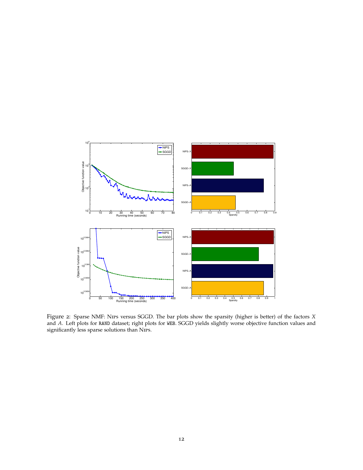<span id="page-11-0"></span>

Figure 2: Sparse NMF: Nips versus SGGD. The bar plots show the sparsity (higher is better) of the factors *X* and *A*. Left plots for RAND dataset; right plots for WEB. SGGD yields slightly worse objective function values and significantly less sparse solutions than NIPs.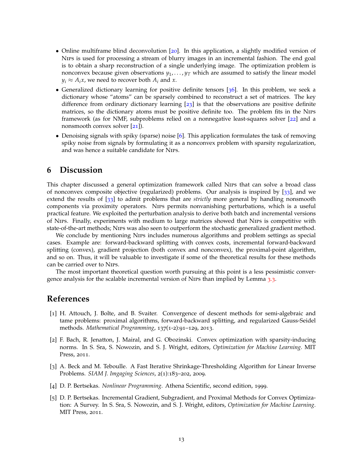- Online multiframe blind deconvolution [[20](#page-13-17)]. In this application, a slightly modified version of Nips is used for processing a stream of blurry images in an incremental fashion. The end goal is to obtain a sharp reconstruction of a single underlying image. The optimization problem is nonconvex because given observations  $y_1, \ldots, y_T$  which are assumed to satisfy the linear model  $y_i \approx A_i x$ , we need to recover both  $A_i$  and *x*.
- Generalized dictionary learning for positive definite tensors [[36](#page-14-14)]. In this problem, we seek a dictionary whose "atoms" can be sparsely combined to reconstruct a set of matrices. The key difference from ordinary dictionary learning [[23](#page-13-4)] is that the observations are positive definite matrices, so the dictionary atoms must be positive definite too. The problem fits in the Nips framework (as for NMF, subproblems relied on a nonnegative least-squares solver [[22](#page-13-18)] and a nonsmooth convex solver [[21](#page-13-0)]).
- Denoising signals with spiky (sparse) noise [[6](#page-13-19)]. This application formulates the task of removing spiky noise from signals by formulating it as a nonconvex problem with sparsity regularization, and was hence a suitable candidate for Nips.

# **6 Discussion**

This chapter discussed a general optimization framework called Nips that can solve a broad class of nonconvex composite objective (regularized) problems. Our analysis is inspired by [[33](#page-14-5)], and we extend the results of [[33](#page-14-5)] to admit problems that are *strictly* more general by handling nonsmooth components via proximity operators. Nips permits nonvanishing perturbations, which is a useful practical feature. We exploited the perturbation analysis to derive both batch and incremental versions of Nips. Finally, experiments with medium to large matrices showed that Nips is competitive with state-of-the-art methods; Nips was also seen to outperform the stochastic generalized gradient method.

We conclude by mentioning Nips includes numerous algorithms and problem settings as special cases. Example are: forward-backward splitting with convex costs, incremental forward-backward splitting (convex), gradient projection (both convex and nonconvex), the proximal-point algorithm, and so on. Thus, it will be valuable to investigate if some of the theoretical results for these methods can be carried over to Nips.

The most important theoretical question worth pursuing at this point is a less pessimistic convergence analysis for the scalable incremental version of Nips than implied by Lemma [3](#page-8-0).3.

### **References**

- <span id="page-12-4"></span>[1] H. Attouch, J. Bolte, and B. Svaiter. Convergence of descent methods for semi-algebraic and tame problems: proximal algorithms, forward-backward splitting, and regularized Gauss-Seidel methods. *Mathematical Programming*, 137(1-2):91–129, 2013.
- <span id="page-12-0"></span>[2] F. Bach, R. Jenatton, J. Mairal, and G. Obozinski. Convex optimization with sparsity-inducing norms. In S. Sra, S. Nowozin, and S. J. Wright, editors, *Optimization for Machine Learning*. MIT Press, 2011.
- <span id="page-12-1"></span>[3] A. Beck and M. Teboulle. A Fast Iterative Shrinkage-Thresholding Algorithm for Linear Inverse Problems. *SIAM J. Imgaging Sciences*, 2(1):183–202, 2009.
- <span id="page-12-2"></span>[4] D. P. Bertsekas. *Nonlinear Programming*. Athena Scientific, second edition, 1999.
- <span id="page-12-3"></span>[5] D. P. Bertsekas. Incremental Gradient, Subgradient, and Proximal Methods for Convex Optimization: A Survey. In S. Sra, S. Nowozin, and S. J. Wright, editors, *Optimization for Machine Learning*. MIT Press, 2011.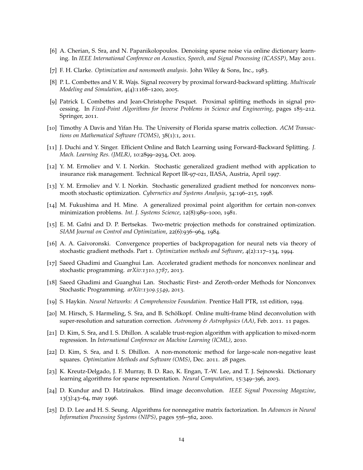- <span id="page-13-19"></span>[6] A. Cherian, S. Sra, and N. Papanikolopoulos. Denoising sparse noise via online dictionary learning. In *IEEE International Conference on Acoustics, Speech, and Signal Processing (ICASSP)*, May 2011.
- <span id="page-13-14"></span>[7] F. H. Clarke. *Optimization and nonsmooth analysis*. John Wiley & Sons, Inc., 1983.
- <span id="page-13-13"></span>[8] P. L. Combettes and V. R. Wajs. Signal recovery by proximal forward-backward splitting. *Multiscale Modeling and Simulation*, 4(4):1168–1200, 2005.
- <span id="page-13-1"></span>[9] Patrick L Combettes and Jean-Christophe Pesquet. Proximal splitting methods in signal processing. In *Fixed-Point Algorithms for Inverse Problems in Science and Engineering*, pages 185–212. Springer, 2011.
- <span id="page-13-16"></span>[10] Timothy A Davis and Yifan Hu. The University of Florida sparse matrix collection. *ACM Transactions on Mathematical Software (TOMS)*, 38(1):1, 2011.
- <span id="page-13-12"></span>[11] J. Duchi and Y. Singer. Efficient Online and Batch Learning using Forward-Backward Splitting. *J. Mach. Learning Res. (JMLR)*, 10:2899–2934, Oct. 2009.
- <span id="page-13-10"></span>[12] Y. M. Ermoliev and V. I. Norkin. Stochastic generalized gradient method with application to insurance risk management. Technical Report IR-97-021, IIASA, Austria, April 1997.
- <span id="page-13-11"></span>[13] Y. M. Ermoliev and V. I. Norkin. Stochastic generalized gradient method for nonconvex nonsmooth stochastic optimization. *Cybernetics and Systems Analysis*, 34:196–215, 1998.
- <span id="page-13-8"></span>[14] M. Fukushima and H. Mine. A generalized proximal point algorithm for certain non-convex minimization problems. *Int. J. Systems Science*, 12(8):989–1000, 1981.
- <span id="page-13-15"></span>[15] E. M. Gafni and D. P. Bertsekas. Two-metric projection methods for constrained optimization. *SIAM Journal on Control and Optimization*, 22(6):936–964, 1984.
- <span id="page-13-6"></span>[16] A. A. Gaivoronski. Convergence properties of backpropagation for neural nets via theory of stochastic gradient methods. Part 1. *Optimization methods and Software*, 4(2):117–134, 1994.
- <span id="page-13-9"></span>[17] Saeed Ghadimi and Guanghui Lan. Accelerated gradient methods for nonconvex nonlinear and stochastic programming. *arXiv:1310.3787*, 2013.
- <span id="page-13-7"></span>[18] Saeed Ghadimi and Guanghui Lan. Stochastic First- and Zeroth-order Methods for Nonconvex Stochastic Programming. *arXiv:1309.5549*, 2013.
- <span id="page-13-5"></span>[19] S. Haykin. *Neural Networks: A Comprehensive Foundation*. Prentice Hall PTR, 1st edition, 1994.
- <span id="page-13-17"></span>[20] M. Hirsch, S. Harmeling, S. Sra, and B. Schölkopf. Online multi-frame blind deconvolution with super-resolution and saturation correction. *Astronomy & Astrophysics (AA)*, Feb. 2011. 11 pages.
- <span id="page-13-0"></span>[21] D. Kim, S. Sra, and I. S. Dhillon. A scalable trust-region algorithm with application to mixed-norm regression. In *International Conference on Machine Learning (ICML)*, 2010.
- <span id="page-13-18"></span>[22] D. Kim, S. Sra, and I. S. Dhillon. A non-monotonic method for large-scale non-negative least squares. *Optimization Methods and Software (OMS)*, Dec. 2011. 28 pages.
- <span id="page-13-4"></span>[23] K. Kreutz-Delgado, J. F. Murray, B. D. Rao, K. Engan, T.-W. Lee, and T. J. Sejnowski. Dictionary learning algorithms for sparse representation. *Neural Computation*, 15:349–396, 2003.
- <span id="page-13-3"></span>[24] D. Kundur and D. Hatzinakos. Blind image deconvolution. *IEEE Signal Processing Magazine*, 13(3):43–64, may 1996.
- <span id="page-13-2"></span>[25] D. D. Lee and H. S. Seung. Algorithms for nonnegative matrix factorization. In *Advances in Neural Information Processing Systems (NIPS)*, pages 556–562, 2000.